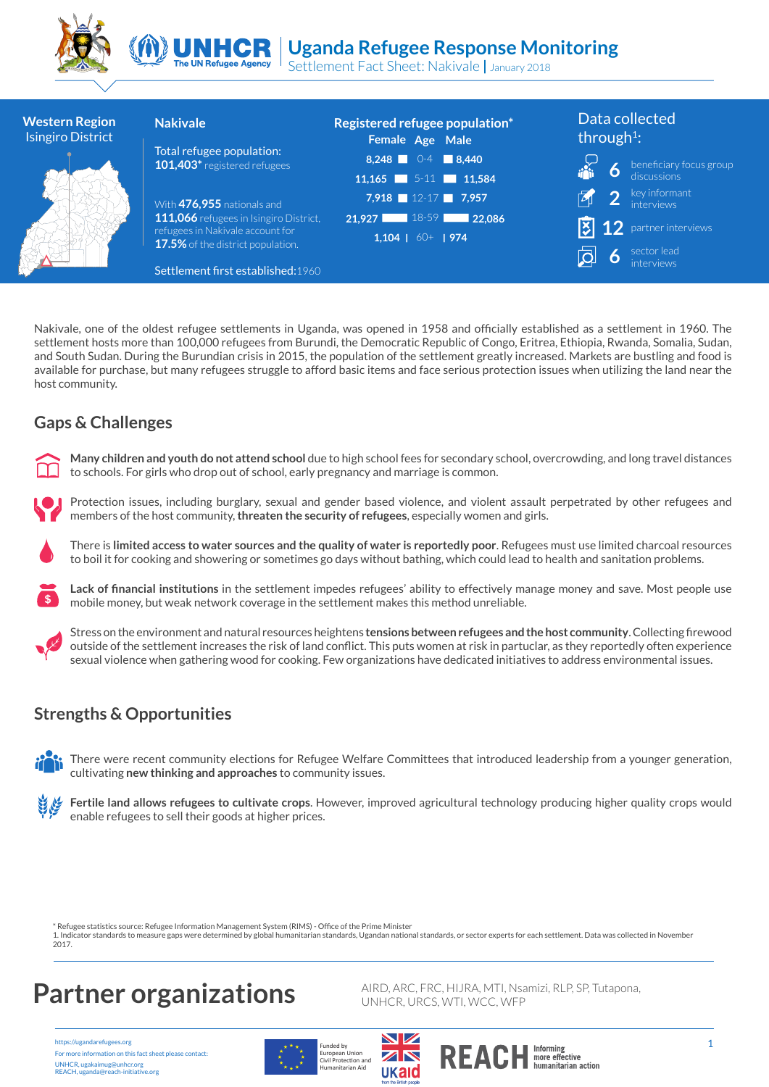

#### **Uganda Refugee Response Monitoring** UNHCR

Settlement Fact Sheet: Nakivale **|** January 2018 **The UN Refugee Agency** 

| <b>Western Region</b><br><b>Isingiro District</b> | <b>Nakivale</b>                                                       | Registered refugee population*<br>Female Age Male | Data collected<br>through <sup>1</sup> :      |  |
|---------------------------------------------------|-----------------------------------------------------------------------|---------------------------------------------------|-----------------------------------------------|--|
|                                                   | Total refugee population:<br>101,403* registered refugees             | 8,248 0-4 $8,440$                                 | $\boldsymbol{\delta}$ beneficiary focus group |  |
|                                                   |                                                                       | $11,165$ 5-11 11,584                              |                                               |  |
|                                                   | With 476,955 nationals and                                            | 7,918 $12-17$ 7,957                               | $\boxed{2}$ key informant                     |  |
|                                                   | 111,066 refugees in Isingiro District,                                | 21,927 18-59 22,086                               | $\overline{3}$ 12 partner interviews          |  |
|                                                   | refugees in Nakivale account for<br>17.5% of the district population. | $1,104$   60+   974                               |                                               |  |
|                                                   | Settlement first established: 1960                                    |                                                   | sector lead<br>interviews                     |  |

Nakivale, one of the oldest refugee settlements in Uganda, was opened in 1958 and officially established as a settlement in 1960. The settlement hosts more than 100,000 refugees from Burundi, the Democratic Republic of Congo, Eritrea, Ethiopia, Rwanda, Somalia, Sudan, and South Sudan. During the Burundian crisis in 2015, the population of the settlement greatly increased. Markets are bustling and food is available for purchase, but many refugees struggle to afford basic items and face serious protection issues when utilizing the land near the host community.

### **Gaps & Challenges**



**Many children and youth do not attend school** due to high school fees for secondary school, overcrowding, and long travel distances to schools. For girls who drop out of school, early pregnancy and marriage is common.



There is **limited access to water sources and the quality of water is reportedly poor**. Refugees must use limited charcoal resources to boil it for cooking and showering or sometimes go days without bathing, which could lead to health and sanitation problems.





Stress on the environment and natural resources heightens **tensions between refugees and the host community**. Collecting firewood outside of the settlement increases the risk of land conflict. This puts women at risk in partuclar, as they reportedly often experience sexual violence when gathering wood for cooking. Few organizations have dedicated initiatives to address environmental issues.

#### **Strengths & Opportunities**

There were recent community elections for Refugee Welfare Committees that introduced leadership from a younger generation, cultivating **new thinking and approaches** to community issues.

**Fertile land allows refugees to cultivate crops**. However, improved agricultural technology producing higher quality crops would enable refugees to sell their goods at higher prices.

\* Refugee statistics source: Refugee Information Management System (RIMS) - Office of the Prime Minister 1. Indicator standards to measure gaps were determined by global humanitarian standards, Ugandan national standards, or sector experts for each settlement. Data was collected in November 2017.

## **Partner organizations** AIRD, ARC, FRC, HIJRA, MTI, Nsamizi, RLP, SP, Tutapona,

https://ugandarefugees.org For more information on this fact sheet please contact: UNHCR, ugakaimug@unhcr.org REACH, uganda@reach-initiative.org



European Union<br>Civil Protection and<br>Humanitarian Aid



 $F_{\text{underby}}$  1  $\blacksquare$  1  $\blacksquare$  1  $\blacksquare$  1  $\blacksquare$  1  $\blacksquare$  1  $\blacksquare$  1  $\blacksquare$  1  $\blacksquare$  1  $\blacksquare$  1  $\blacksquare$  1  $\blacksquare$  1  $\blacksquare$  1  $\blacksquare$  1  $\blacksquare$  1  $\blacksquare$  1  $\blacksquare$  1  $\blacksquare$  1  $\blacksquare$  1  $\blacksquare$  1  $\blacksquare$  1  $\blacksquare$  1  $\blacksquare$  1  $\blacksquare$  1 more effective<br>humanitarian action

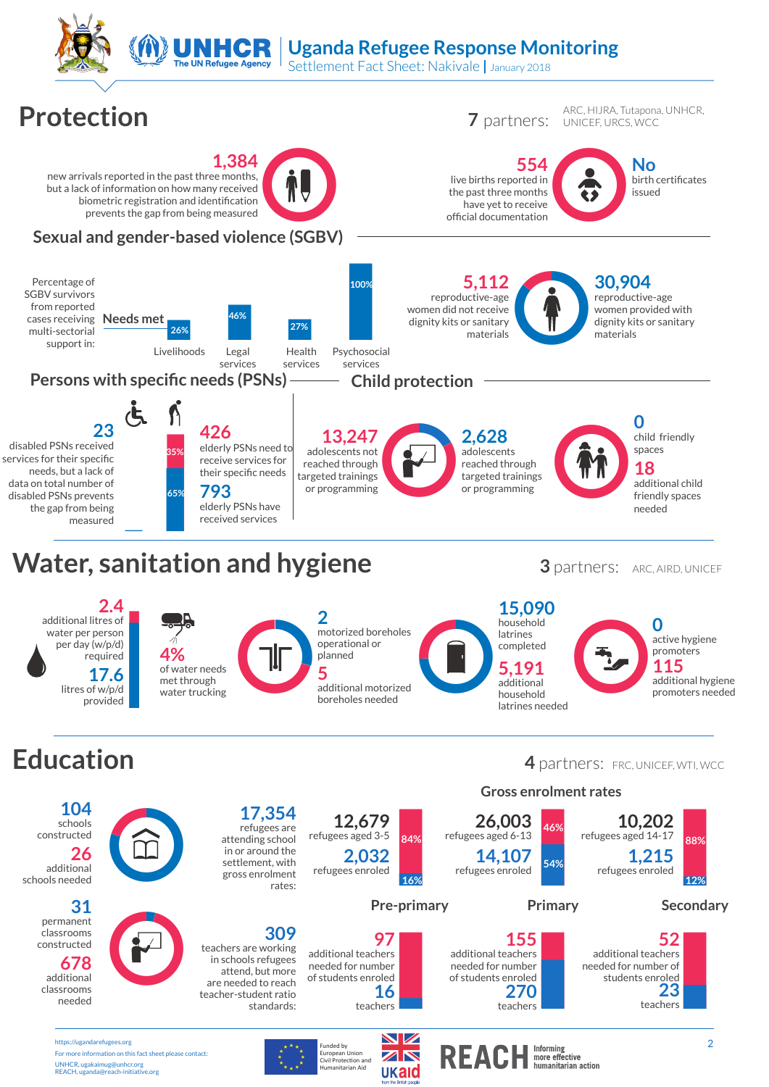

received services measured

For more information on this fact sheet please contact:

UNHCR, ugakaimug@unhcr.org REACH, uganda@reach-initiative.org

 $3$  partners:  $AC$ , AIRD, UNICEF

needed





European Union<br>Civil Protection and<br>Humanitarian Aid